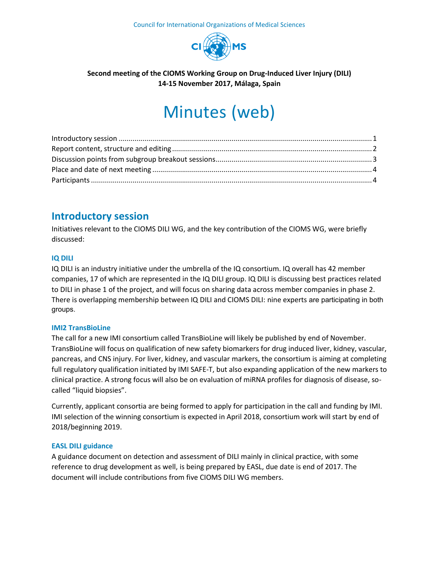

## **Second meeting of the CIOMS Working Group on Drug-Induced Liver Injury (DILI) 14-15 November 2017, Málaga, Spain**

# Minutes (web)

## <span id="page-0-0"></span>**Introductory session**

Initiatives relevant to the CIOMS DILI WG, and the key contribution of the CIOMS WG, were briefly discussed:

## **IQ DILI**

IQ DILI is an industry initiative under the umbrella of the IQ consortium. IQ overall has 42 member companies, 17 of which are represented in the IQ DILI group. IQ DILI is discussing best practices related to DILI in phase 1 of the project, and will focus on sharing data across member companies in phase 2. There is overlapping membership between IQ DILI and CIOMS DILI: nine experts are participating in both groups.

#### **IMI2 TransBioLine**

The call for a new IMI consortium called TransBioLine will likely be published by end of November. TransBioLine will focus on qualification of new safety biomarkers for drug induced liver, kidney, vascular, pancreas, and CNS injury. For liver, kidney, and vascular markers, the consortium is aiming at completing full regulatory qualification initiated by IMI SAFE-T, but also expanding application of the new markers to clinical practice. A strong focus will also be on evaluation of miRNA profiles for diagnosis of disease, socalled "liquid biopsies".

Currently, applicant consortia are being formed to apply for participation in the call and funding by IMI. IMI selection of the winning consortium is expected in April 2018, consortium work will start by end of 2018/beginning 2019.

#### **EASL DILI guidance**

A guidance document on detection and assessment of DILI mainly in clinical practice, with some reference to drug development as well, is being prepared by EASL, due date is end of 2017. The document will include contributions from five CIOMS DILI WG members.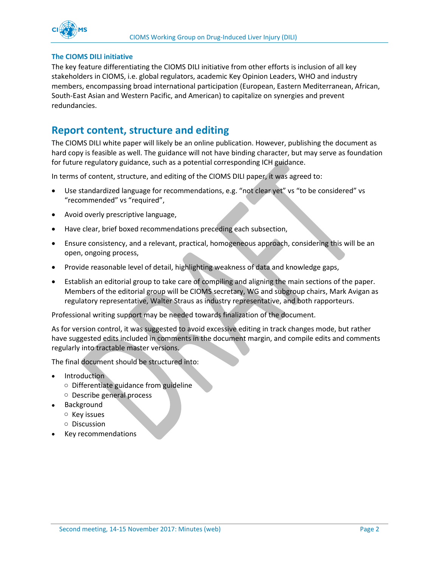

#### **The CIOMS DILI initiative**

The key feature differentiating the CIOMS DILI initiative from other efforts is inclusion of all key stakeholders in CIOMS, i.e. global regulators, academic Key Opinion Leaders, WHO and industry members, encompassing broad international participation (European, Eastern Mediterranean, African, South-East Asian and Western Pacific, and American) to capitalize on synergies and prevent redundancies.

## <span id="page-1-0"></span>**Report content, structure and editing**

The CIOMS DILI white paper will likely be an online publication. However, publishing the document as hard copy is feasible as well. The guidance will not have binding character, but may serve as foundation for future regulatory guidance, such as a potential corresponding ICH guidance.

In terms of content, structure, and editing of the CIOMS DILI paper, it was agreed to:

- Use standardized language for recommendations, e.g. "not clear yet" vs "to be considered" vs "recommended" vs "required",
- Avoid overly prescriptive language,
- Have clear, brief boxed recommendations preceding each subsection,
- Ensure consistency, and a relevant, practical, homogeneous approach, considering this will be an open, ongoing process,
- Provide reasonable level of detail, highlighting weakness of data and knowledge gaps,
- Establish an editorial group to take care of compiling and aligning the main sections of the paper. Members of the editorial group will be CIOMS secretary, WG and subgroup chairs, Mark Avigan as regulatory representative, Walter Straus as industry representative, and both rapporteurs.

Professional writing support may be needed towards finalization of the document.

As for version control, it was suggested to avoid excessive editing in track changes mode, but rather have suggested edits included in comments in the document margin, and compile edits and comments regularly into tractable master versions.

The final document should be structured into:

- Introduction
	- o Differentiate guidance from guideline
	- o Describe general process
- Background
	- o Key issues
	- o Discussion
- Key recommendations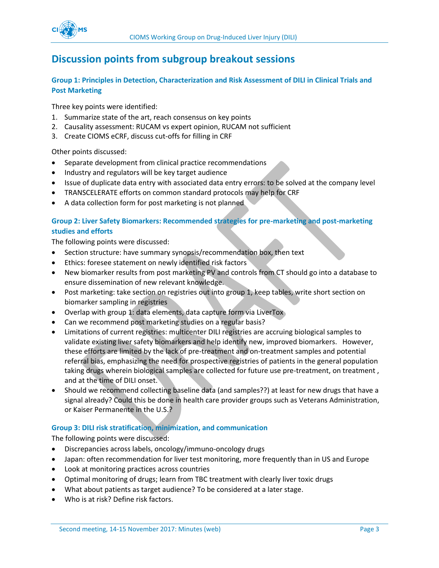## <span id="page-2-0"></span>**Discussion points from subgroup breakout sessions**

## **Group 1: Principles in Detection, Characterization and Risk Assessment of DILI in Clinical Trials and Post Marketing**

Three key points were identified:

- 1. Summarize state of the art, reach consensus on key points
- 2. Causality assessment: RUCAM vs expert opinion, RUCAM not sufficient
- 3. Create CIOMS eCRF, discuss cut-offs for filling in CRF

Other points discussed:

- Separate development from clinical practice recommendations
- Industry and regulators will be key target audience
- Issue of duplicate data entry with associated data entry errors: to be solved at the company level
- TRANSCELERATE efforts on common standard protocols may help for CRF
- A data collection form for post marketing is not planned

## **Group 2: Liver Safety Biomarkers: Recommended strategies for pre-marketing and post-marketing studies and efforts**

The following points were discussed:

- Section structure: have summary synopsis/recommendation box, then text
- Ethics: foresee statement on newly identified risk factors
- New biomarker results from post marketing PV and controls from CT should go into a database to ensure dissemination of new relevant knowledge.
- Post marketing: take section on registries out into group 1, keep tables, write short section on biomarker sampling in registries
- Overlap with group 1: data elements, data capture form via LiverTox
- Can we recommend post marketing studies on a regular basis?
- Limitations of current registries: multicenter DILI registries are accruing biological samples to validate existing liver safety biomarkers and help identify new, improved biomarkers. However, these efforts are limited by the lack of pre-treatment and on-treatment samples and potential referral bias, emphasizing the need for prospective registries of patients in the general population taking drugs wherein biological samples are collected for future use pre-treatment, on treatment , and at the time of DILI onset.
- Should we recommend collecting baseline data (and samples??) at least for new drugs that have a signal already? Could this be done in health care provider groups such as Veterans Administration, or Kaiser Permanente in the U.S.?

## **Group 3: DILI risk stratification, minimization, and communication**

The following points were discussed:

- Discrepancies across labels, oncology/immuno-oncology drugs
- Japan: often recommendation for liver test monitoring, more frequently than in US and Europe
- Look at monitoring practices across countries
- Optimal monitoring of drugs; learn from TBC treatment with clearly liver toxic drugs
- What about patients as target audience? To be considered at a later stage.
- Who is at risk? Define risk factors.